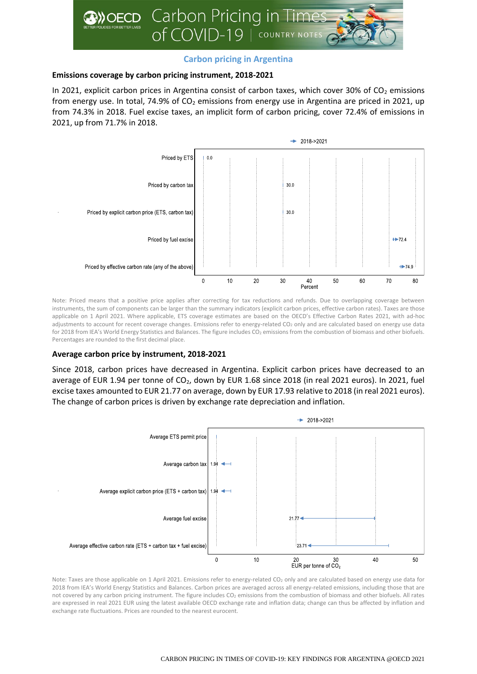

# **Carbon pricing in Argentina**

## **Emissions coverage by carbon pricing instrument, 2018-2021**

In 2021, explicit carbon prices in Argentina consist of carbon taxes, which cover 30% of  $CO<sub>2</sub>$  emissions from energy use. In total, 74.9% of  $CO<sub>2</sub>$  emissions from energy use in Argentina are priced in 2021, up from 74.3% in 2018. Fuel excise taxes, an implicit form of carbon pricing, cover 72.4% of emissions in 2021, up from 71.7% in 2018.



Note: Priced means that a positive price applies after correcting for tax reductions and refunds. Due to overlapping coverage between instruments, the sum of components can be larger than the summary indicators (explicit carbon prices, effective carbon rates). Taxes are those applicable on 1 April 2021. Where applicable, ETS coverage estimates are based on the OECD's Effective Carbon Rates 2021, with ad-hoc adjustments to account for recent coverage changes. Emissions refer to energy-related CO<sub>2</sub> only and are calculated based on energy use data for 2018 from IEA's World Energy Statistics and Balances. The figure includes CO<sub>2</sub> emissions from the combustion of biomass and other biofuels. Percentages are rounded to the first decimal place.

## **Average carbon price by instrument, 2018-2021**

Since 2018, carbon prices have decreased in Argentina. Explicit carbon prices have decreased to an average of EUR 1.94 per tonne of CO<sub>2</sub>, down by EUR 1.68 since 2018 (in real 2021 euros). In 2021, fuel excise taxes amounted to EUR 21.77 on average, down by EUR 17.93 relative to 2018 (in real 2021 euros). The change of carbon prices is driven by exchange rate depreciation and inflation.



Note: Taxes are those applicable on 1 April 2021. Emissions refer to energy-related CO<sub>2</sub> only and are calculated based on energy use data for 2018 from IEA's World Energy Statistics and Balances. Carbon prices are averaged across all energy-related emissions, including those that are not covered by any carbon pricing instrument. The figure includes CO<sup>2</sup> emissions from the combustion of biomass and other biofuels. All rates are expressed in real 2021 EUR using the latest available OECD exchange rate and inflation data; change can thus be affected by inflation and exchange rate fluctuations. Prices are rounded to the nearest eurocent.